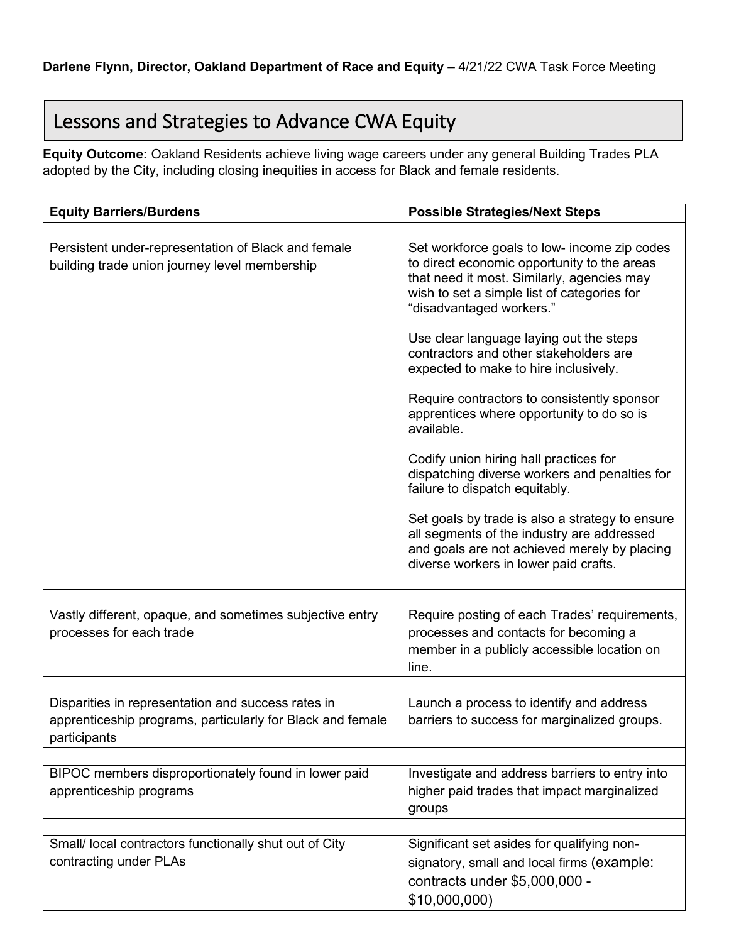## Lessons and Strategies to Advance CWA Equity

**Equity Outcome:** Oakland Residents achieve living wage careers under any general Building Trades PLA adopted by the City, including closing inequities in access for Black and female residents.

| <b>Equity Barriers/Burdens</b>                                                                                                   | <b>Possible Strategies/Next Steps</b>                                                                                                                                                                                |
|----------------------------------------------------------------------------------------------------------------------------------|----------------------------------------------------------------------------------------------------------------------------------------------------------------------------------------------------------------------|
|                                                                                                                                  |                                                                                                                                                                                                                      |
| Persistent under-representation of Black and female<br>building trade union journey level membership                             | Set workforce goals to low- income zip codes<br>to direct economic opportunity to the areas<br>that need it most. Similarly, agencies may<br>wish to set a simple list of categories for<br>"disadvantaged workers." |
|                                                                                                                                  | Use clear language laying out the steps<br>contractors and other stakeholders are<br>expected to make to hire inclusively.                                                                                           |
|                                                                                                                                  | Require contractors to consistently sponsor<br>apprentices where opportunity to do so is<br>available.                                                                                                               |
|                                                                                                                                  | Codify union hiring hall practices for<br>dispatching diverse workers and penalties for<br>failure to dispatch equitably.                                                                                            |
|                                                                                                                                  | Set goals by trade is also a strategy to ensure<br>all segments of the industry are addressed<br>and goals are not achieved merely by placing<br>diverse workers in lower paid crafts.                               |
|                                                                                                                                  |                                                                                                                                                                                                                      |
| Vastly different, opaque, and sometimes subjective entry<br>processes for each trade                                             | Require posting of each Trades' requirements,<br>processes and contacts for becoming a<br>member in a publicly accessible location on<br>line.                                                                       |
|                                                                                                                                  |                                                                                                                                                                                                                      |
| Disparities in representation and success rates in<br>apprenticeship programs, particularly for Black and female<br>participants | Launch a process to identify and address<br>barriers to success for marginalized groups.                                                                                                                             |
|                                                                                                                                  |                                                                                                                                                                                                                      |
| BIPOC members disproportionately found in lower paid<br>apprenticeship programs                                                  | Investigate and address barriers to entry into<br>higher paid trades that impact marginalized<br>groups                                                                                                              |
|                                                                                                                                  |                                                                                                                                                                                                                      |
| Small/ local contractors functionally shut out of City<br>contracting under PLAs                                                 | Significant set asides for qualifying non-<br>signatory, small and local firms (example:<br>contracts under \$5,000,000 -<br>\$10,000,000)                                                                           |